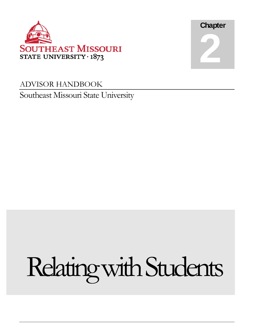



## ADVISOR HANDBOOK Southeast Missouri State University

# Relating with Students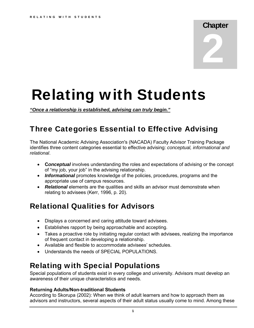**Chapter** 2

## Relating with Students

*"Once a relationship is established, advising can truly begin."* 

## Three Categories Essential to Effective Advising

The National Academic Advising Association's (NACADA) Faculty Advisor Training Package identifies three content categories essential to effective advising: *conceptual, informational and relational*.

- **Conceptual** involves understanding the roles and expectations of advising or the concept of "my job, your job" in the advising relationship.
- **Informational** promotes knowledge of the policies, procedures, programs and the appropriate use of campus resources.
- Relational elements are the qualities and skills an advisor must demonstrate when relating to advisees (Kerr, 1996, p. 20).

## Relational Qualities for Advisors

- Displays a concerned and caring attitude toward advisees.
- Establishes rapport by being approachable and accepting.
- Takes a proactive role by initiating regular contact with advisees, realizing the importance of frequent contact in developing a relationship.
- Available and flexible to accommodate advisees' schedules.
- Understands the needs of SPECIAL POPULATIONS.

## Relating with Special Populations

Special populations of students exist in every college and university. Advisors must develop an awareness of their unique characteristics and needs.

#### **Returning Adults/Non-traditional Students**

According to Skorupa (2002): When we think of adult learners and how to approach them as advisors and instructors, several aspects of their adult status usually come to mind. Among these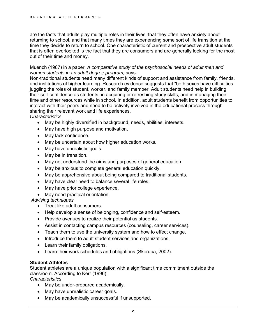are the facts that adults play multiple roles in their lives, that they often have anxiety about returning to school, and that many times they are experiencing some sort of life transition at the time they decide to return to school. One characteristic of current and prospective adult students that is often overlooked is the fact that they are consumers and are generally looking for the most out of their time and money.

#### Muench (1987) in a paper, *A comparative study of the psychosocial needs of adult men and women students in an adult degree program,* says*:*

Non-traditional students need many different kinds of support and assistance from family, friends, and institutions of higher learning. Research evidence suggests that "both sexes have difficulties juggling the roles of student, worker, and family member. Adult students need help in building their self-confidence as students, in acquiring or refreshing study skills, and in managing their time and other resources while in school. In addition, adult students benefit from opportunities to interact with their peers and need to be actively involved in the educational process through sharing their relevant work and life experiences.

*Characteristics* 

- May be highly diversified in background, needs, abilities, interests.
- May have high purpose and motivation.
- May lack confidence.
- May be uncertain about how higher education works.
- May have unrealistic goals.
- May be in transition.
- May not understand the aims and purposes of general education.
- May be anxious to complete general education quickly.
- May be apprehensive about being compared to traditional students.
- May have clear need to balance several life roles.
- May have prior college experience.
- May need practical orientation.

 *Advising techniques* 

- Treat like adult consumers.
- Help develop a sense of belonging, confidence and self-esteem.
- Provide avenues to realize their potential as students.
- Assist in contacting campus resources (counseling, career services).
- Teach them to use the university system and how to effect change.
- Introduce them to adult student services and organizations.
- Learn their family obligations.
- Learn their work schedules and obligations (Skorupa, 2002).

#### **Student Athletes**

Student athletes are a unique population with a significant time commitment outside the classroom. According to Kerr (1996):

*Characteristics* 

- May be under-prepared academically.
- May have unrealistic career goals.
- May be academically unsuccessful if unsupported.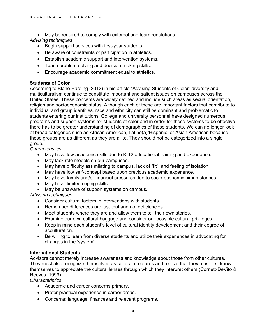• May be required to comply with external and team regulations.

*Advising techniques* 

- Begin support services with first-year students.
- Be aware of constraints of participation in athletics.
- Establish academic support and intervention systems.
- Teach problem-solving and decision-making skills.
- Encourage academic commitment equal to athletics.

#### **Students of Color**

According to Blane Harding (2012) in his article "Advising Students of Color" diversity and multiculturalism continue to constitute important and salient issues on campuses across the United States. These concepts are widely defined and include such areas as sexual orientation, religion and socioeconomic status. Although each of these are important factors that contribute to individual and group identities, race and ethnicity can still be dominant and problematic to students entering our institutions. College and university personnel have designed numerous programs and support systems for students of color and in order for these systems to be effective there has to be greater understanding of demographics of these students. We can no longer look at broad categories such as African American, Latino(a)/Hispanic, or Asian American because these groups are as different as they are alike. They should not be categorized into a single group.

*Characteristics* 

- May have low academic skills due to K-12 educational training and experience.
- May lack role models on our campuses.
- May have difficulty assimilating to campus, lack of "fit", and feeling of isolation.
- May have low self-concept based upon previous academic experience.
- May have family and/or financial pressures due to socio-economic circumstances.
- May have limited coping skills.
- May be unaware of support systems on campus.

*Advising techniques* 

- Consider cultural factors in interventions with students.
- Remember differences are just that and not deficiencies.
- Meet students where they are and allow them to tell their own stories.
- Examine our own cultural baggage and consider our possible cultural privileges.
- Keep in mind each student's level of cultural identity development and their degree of acculturation.
- Be willing to learn from diverse students and utilize their experiences in advocating for changes in the 'system'.

#### **International Students**

Advisors cannot merely increase awareness and knowledge about those from other cultures. They must also recognize themselves as cultural creatures and realize that they must first know themselves to appreciate the cultural lenses through which they interpret others (Cornett-DeVito & Reeves, 1999).

*Characteristics* 

- Academic and career concerns primary.
- Prefer practical experience in career areas.
- Concerns: language, finances and relevant programs.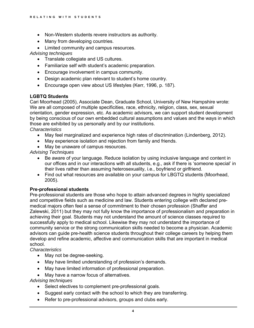- Non-Western students revere instructors as authority.
- Many from developing countries.
- Limited community and campus resources.

*Advising techniques* 

- Translate collegiate and US cultures.
- Familiarize self with student's academic preparation.
- Encourage involvement in campus community.
- Design academic plan relevant to student's home country.
- Encourage open view about US lifestyles (Kerr, 1996, p. 187).

#### **LGBTQ Students**

Cari Moorhead (2005), Associate Dean, Graduate School, University of New Hampshire wrote: We are all composed of multiple specificities, race, ethnicity, religion, class, sex, sexual orientation, gender expression, etc. As academic advisors, we can support student development by being conscious of our own embedded cultural assumptions and values and the ways in which those are exhibited by us personally and by our institutions. *Characteristics* 

- May feel marginalized and experience high rates of discrimination (Lindenberg, 2012).
- May experience isolation and rejection from family and friends.
- May be unaware of campus resources.

#### *Advising Techniques*

- Be aware of your language. Reduce isolation by using inclusive language and content in our offices and in our interactions with all students, e.g., ask if there is 'someone special' in their lives rather than assuming heterosexuality, i.e., boyfriend or girlfriend.
- Find out what resources are available on your campus for LBGTQ students (Moorhead, 2005).

#### **Pre-professional students**

Pre-professional students are those who hope to attain advanced degrees in highly specialized and competitive fields such as medicine and law. Students entering college with declared premedical majors often feel a sense of commitment to their chosen profession (Shaffer and Zalewski, 2011) but they may not fully know the importance of professionalism and preparation in achieving their goal. Students may not understand the amount of science classes required to successfully apply to medical school. Likewise they may not understand the importance of community service or the strong communication skills needed to become a physician. Academic advisors can guide pre-health science students throughout their college careers by helping them develop and refine academic, affective and communication skills that are important in medical school.

#### *Characteristics*

- May not be degree-seeking.
- May have limited understanding of profession's demands.
- May have limited information of professional preparation.
- May have a narrow focus of alternatives.

#### *Advising techniques*

- Select electives to complement pre-professional goals.
- Suggest early contact with the school to which they are transferring.
- Refer to pre-professional advisors, groups and clubs early.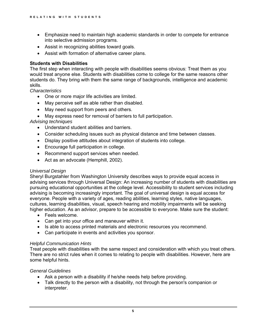- Emphasize need to maintain high academic standards in order to compete for entrance into selective admission programs.
- Assist in recognizing abilities toward goals.
- Assist with formation of alternative career plans.

#### **Students with Disabilities**

The first step when interacting with people with disabilities seems obvious: Treat them as you would treat anyone else. Students with disabilities come to college for the same reasons other students do. They bring with them the same range of backgrounds, intelligence and academic skills.

#### *Characteristics*

- One or more major life activities are limited.
- May perceive self as able rather than disabled.
- May need support from peers and others.
- May express need for removal of barriers to full participation.

#### *Advising techniques*

- Understand student abilities and barriers.
- Consider scheduling issues such as physical distance and time between classes.
- Display positive attitudes about integration of students into college.
- Encourage full participation in college.
- Recommend support services when needed.
- Act as an advocate (Hemphill, 2002).

#### *Universal Design*

Sheryl Burgstahler from Washington University describes ways to provide equal access in advising services through Universal Design: An increasing number of students with disabilities are pursuing educational opportunities at the college level. Accessibility to student services including advising is becoming increasingly important. The goal of universal design is equal access for everyone. People with a variety of ages, reading abilities, learning styles, native languages, cultures, learning disabilities, visual, speech hearing and mobility impairments will be seeking higher education. As an advisor, prepare to be accessible to everyone. Make sure the student:

- Feels welcome.
- Can get into your office and maneuver within it.
- Is able to access printed materials and electronic resources you recommend.
- Can participate in events and activities you sponsor.

#### *Helpful Communication Hints*

Treat people with disabilities with the same respect and consideration with which you treat others. There are no strict rules when it comes to relating to people with disabilities. However, here are some helpful hints.

#### *General Guidelines*

- Ask a person with a disability if he/she needs help before providing.
- Talk directly to the person with a disability, not through the person's companion or interpreter.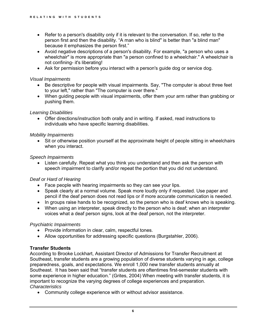- Refer to a person's disability only if it is relevant to the conversation. If so, refer to the person first and then the disability. "A man who is blind" is better than "a blind man" because it emphasizes the person first."
- Avoid negative descriptions of a person's disability. For example, "a person who uses a wheelchair" is more appropriate than "a person confined to a wheelchair." A wheelchair is not confining- it's liberating!
- Ask for permission before you interact with a person's guide dog or service dog.

#### *Visual Impairments*

- Be descriptive for people with visual impairments. Say, "The computer is about three feet to your left," rather than "The computer is over there."
- When guiding people with visual impairments, offer them your arm rather than grabbing or pushing them.

#### *Learning Disabilities*

 Offer directions/instruction both orally and in writing. If asked, read instructions to individuals who have specific learning disabilities.

#### *Mobility Impairments*

 Sit or otherwise position yourself at the approximate height of people sitting in wheelchairs when you interact.

#### *Speech Impairments*

 speech impairment to clarify and/or repeat the portion that you did not understand. Listen carefully. Repeat what you think you understand and then ask the person with

#### *Deaf or Hard of Hearing*

- Face people with hearing impairments so they can see your lips.
- Speak clearly at a normal volume. Speak more loudly only if requested. Use paper and pencil if the deaf person does not read lips or if more accurate communication is needed.
- In groups raise hands to be recognized, so the person who is deaf knows who is speaking.
- When using an interpreter, speak directly to the person who is deaf; when an interpreter voices what a deaf person signs, look at the deaf person, not the interpreter.

#### *Psychiatric Impairments*

- Provide information in clear, calm, respectful tones.
- Allow opportunities for addressing specific questions (Burgstahler, 2006).

#### **Transfer Students**

According to Brooke Lockhart, Assistant Director of Admissions for Transfer Recruitment at Southeast, transfer students are a growing population of diverse students varying in age, college preparedness, goals, and expectations. We enroll 1,000 new transfer students annually at Southeast. It has been said that "transfer students are oftentimes first-semester students with some experience in higher education." (Grites, 2004) When meeting with transfer students, it is important to recognize the varying degrees of college experiences and preparation. *Characteristics* 

Community college experience with or without advisor assistance.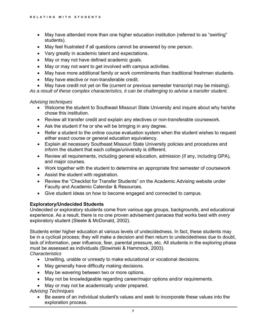- May have attended more than one higher education institution (referred to as "swirling" students).
- May feel frustrated if all questions cannot be answered by one person.
- Vary greatly in academic talent and expectations.
- May or may not have defined academic goals.
- May or may not want to get involved with campus activities.
- May have more additional family or work commitments than traditional freshmen students.
- May have elective or non-transferable credit.
- May have credit not yet on file (current or previous semester transcript may be missing).

*As a result of these complex characteristics, it can be challenging to advise a transfer student.* 

*Advising techniques* 

- Welcome the student to Southeast Missouri State University and inquire about why he/she chose this institution.
- Review all transfer credit and explain any electives or non-transferable coursework.
- Ask the student if he or she will be bringing in any degree.
- Refer a student to the online course evaluation system when the student wishes to request either exact course or general education equivalency.
- Explain all necessary Southeast Missouri State University policies and procedures and inform the student that each college/university is different.
- Review all requirements, including general education, admission (if any, including GPA), and major courses.
- Work together with the student to determine an appropriate first semester of coursework
- Assist the student with registration.
- Review the "Checklist for Transfer Students" on the Academic Advising website under Faculty and Academic Calendar & Resources.
- Give student ideas on how to become engaged and connected to campus.

#### **Exploratory/Undecided Students**

Undecided or exploratory students come from various age groups, backgrounds, and educational experience. As a result, there is no one proven advisement panacea that works best with *every*  exploratory student (Steele & McDonald, 2002).

Students enter higher education at various levels of undecidedness. In fact, these students may be in a cyclical process; they will make a decision and then return to undecidedness due to doubt, lack of information, peer influence, fear, parental pressure, etc. All students in the exploring phase must be assessed as individuals (Slowinski & Hammock, 2003). *Characteristics* 

- Unwilling, unable or unready to make educational or vocational decisions.
- May generally have difficulty making decisions.
- May be wavering between two or more options.
- May not be knowledgeable regarding career/major options and/or requirements.
- May or may not be academically under prepared.

*Advising Techniques* 

 Be aware of an individual student's values and seek to incorporate these values into the exploration process.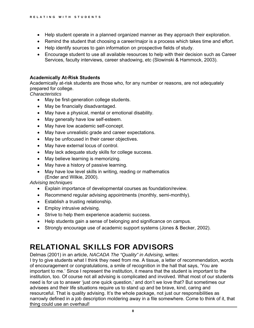- Help student operate in a planned organized manner as they approach their exploration.
- Remind the student that choosing a career/major is a process which takes time and effort.
- Help identify sources to gain information on prospective fields of study.
- Encourage student to use all available resources to help with their decision such as Career Services, faculty interviews, career shadowing, etc (Slowinski & Hammock, 2003).

#### **Academically At-Risk Students**

Academically at-risk students are those who, for any number or reasons, are not adequately prepared for college.

*Characteristics* 

- May be first-generation college students.
- May be financially disadvantaged.
- May have a physical, mental or emotional disability.
- May generally have low self-esteem.
- May have low academic self-concept.
- May have unrealistic grade and career expectations.
- May be unfocused in their career objectives.
- May have external locus of control.
- May lack adequate study skills for college success.
- May believe learning is memorizing.
- May have a history of passive learning.
- May have low level skills in writing, reading or mathematics (Ender and Wilkie, 2000).

#### *Advising techniques*

- Explain importance of developmental courses as foundation/review.
- Recommend regular advising appointments (monthly, semi-monthly).
- Establish a trusting relationship.
- Employ intrusive advising.
- Strive to help them experience academic success.
- Help students gain a sense of belonging and significance on campus.
- Strongly encourage use of academic support systems (Jones & Becker, 2002).

## RELATIONAL SKILLS FOR ADVISORS

Delmas (2001) in an article, *NACADA The "Quality" in Advising*, writes:

 of encouragement or congratulations, a smile of recognition in the hall that says, 'You are I try to give students what I think they need from me. A tissue, a letter of recommendation, words important to me.' Since I represent the institution, it means that the student is important to the institution, too. Of course not all advising is complicated and involved. What most of our students need is for us to answer 'just one quick question,' and don't we love that? But sometimes our advisees and their life situations require us to stand up and be brave, kind, caring and resourceful. That is quality advising. It's the whole package, not just our responsibilities as narrowly defined in a job description moldering away in a file somewhere. Come to think of it, that thing could use an overhaul!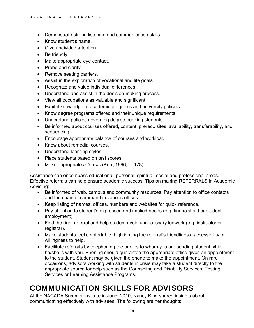- Demonstrate strong listening and communication skills.
- Know student's name.
- Give undivided attention.
- Be friendly.
- Make appropriate eye contact.
- Probe and clarify.
- Remove seating barriers.
- Assist in the exploration of vocational and life goals.
- Recognize and value individual differences.
- Understand and assist in the decision-making process.
- View all occupations as valuable and significant.
- Exhibit knowledge of academic programs and university policies.
- Know degree programs offered and their unique requirements.
- Understand policies governing degree-seeking students.
- Be informed about courses offered, content, prerequisites, availability, transferability, and sequencing.
- Encourage appropriate balance of courses and workload.
- Know about remedial courses.
- Understand learning styles.
- Place students based on test scores.
- Make appropriate *referrals* (Kerr, 1996, p. 178).

Assistance can encompass educational, personal, spiritual, social and professional areas. Effective referrals can help ensure academic success. Tips on making REFERRALS in Academic Advising:

- Be informed of web, campus and community resources. Pay attention to office contacts and the chain of command in various offices.
- Keep listing of names, offices, numbers and websites for quick reference.
- Pay attention to student's expressed and implied needs (e.g. financial aid or student employment).
- Find the right referral and help student avoid unnecessary legwork (e.g. instructor or registrar).
- Make students feel comfortable, highlighting the referral's friendliness, accessibility or willingness to help.
- Facilitate referrals by telephoning the parties to whom you are sending student while he/she is with you. Phoning should guarantee the appropriate office gives an appointment to the student. Student may be given the phone to make the appointment. On rare occasions, advisors working with students in crisis may take a student directly to the appropriate source for help such as the Counseling and Disability Services, Testing Services or Learning Assistance Programs.

## COMMUNICATION SKILLS FOR ADVISORS

At the NACADA Summer institute in June, 2010, Nancy King shared insights about communicating effectively with advisees. The following are her thoughts.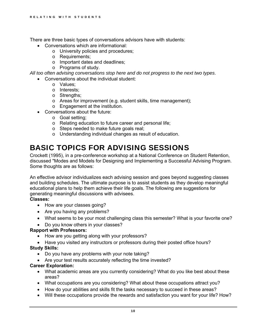There are three basic types of conversations advisors have with students:

- Conversations which are informational:
	- o University policies and procedures;
	- o Requirements;
	- o Important dates and deadlines;
	- o Programs of study.

*All too often advising conversations stop here and do not progress to the next two types*.

- Conversations about the individual student:
	- o Values;
	- o Interests;
	- o Strengths;
	- o Areas for improvement (e.g. student skills, time management);
	- o Engagement at the institution.
- Conversations about the future:
	- o Goal setting;
	- o Relating education to future career and personal life;
	- o Steps needed to make future goals real;
	- o Understanding individual changes as result of education.

## BASIC TOPICS FOR ADVISING SESSIONS

Crockett (1995), in a pre-conference workshop at a National Conference on Student Retention, discussed "Modes and Models for Designing and Implementing a Successful Advising Program. Some thoughts are as follows:

An effective advisor individualizes each advising session and goes beyond suggesting classes and building schedules. The ultimate purpose is to assist students as they develop meaningful educational plans to help them achieve their life goals. The following are suggestions for generating meaningful discussions with advisees.

#### **Classes:**

- How are your classes going?
- Are you having any problems?
- What seems to be your most challenging class this semester? What is your favorite one?
- Do you know others in your classes?

#### **Rapport with Professors:**

- How are you getting along with your professors?
- Have you visited any instructors or professors during their posted office hours?

#### **Study Skills:**

- Do you have any problems with your note taking?
- Are your test results accurately reflecting the time invested?

#### **Career Exploration:**

- What academic areas are you currently considering? What do you like best about these areas?
- What occupations are you considering? What about these occupations attract you?
- How do your abilities and skills fit the tasks necessary to succeed in these areas?
- Will these occupations provide the rewards and satisfaction you want for your life? How?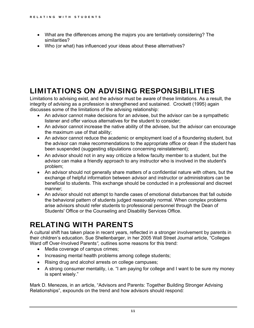- What are the differences among the majors you are tentatively considering? The similarities?
- Who (or what) has influenced your ideas about these alternatives?

## LIMITATIONS ON ADVISING RESPONSIBILITIES

 discusses some of the limitations of the advising relationship: Limitations to advising exist, and the advisor must be aware of these limitations. As a result, the integrity of advising as a profession is strengthened and sustained. Crockett (1995) again

- An advisor cannot make decisions for an advisee, but the advisor can be a sympathetic listener and offer various alternatives for the student to consider;
- An advisor cannot increase the native ability of the advisee, but the advisor can encourage the maximum use of that ability;
- An advisor cannot reduce the academic or employment load of a floundering student, but the advisor can make recommendations to the appropriate office or dean if the student has been suspended (suggesting stipulations concerning reinstatement);
- An advisor should not in any way criticize a fellow faculty member to a student, but the advisor can make a friendly approach to any instructor who is involved in the student's problem;
- An advisor should not generally share matters of a confidential nature with others, but the exchange of helpful information between advisor and instructor or administrators can be beneficial to students. This exchange should be conducted in a professional and discreet manner;
- An advisor should not attempt to handle cases of emotional disturbances that fall outside the behavioral pattern of students judged reasonably normal. When complex problems arise advisors should refer students to professional personnel through the Dean of Students' Office or the Counseling and Disability Services Office.

## RELATING WITH PARENTS

A cultural shift has taken place in recent years, reflected in a stronger involvement by parents in their children's education. Sue Shellenbarger, in her 2005 Wall Street Journal article, "Colleges Ward off Over-Involved Parents*",* outlines some reasons for this trend:

- Media coverage of campus crimes;
- Increasing mental health problems among college students;
- Rising drug and alcohol arrests on college campuses;
- A strong consumer mentality, i.e. "I am paying for college and I want to be sure my money is spent wisely."

Mark D. Menezes, in an article, "Advisors and Parents: Together Building Stronger Advising Relationships", expounds on the trend and how advisors should respond*:*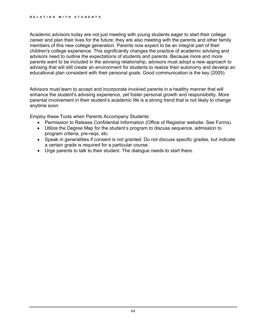educational plan consistent with their personal goals. Good communication is the key (2005). Academic advisors today are not just meeting with young students eager to start their college career and plan their lives for the future; they are also meeting with the parents and other family members of this new college generation. Parents now expect to be an integral part of their children's college experience. This significantly changes the practice of academic advising and advisors need to outline the expectations of students and parents. Because more and more parents want to be included in the advising relationship, advisors must adopt a new approach to advising that will still create an environment for students to realize their autonomy and develop an

Advisors must learn to accept and incorporate involved parents in a healthy manner that will enhance the student's advising experience, yet foster personal growth and responsibility. More parental involvement in their student's academic life is a strong trend that is not likely to change anytime soon.

Employ these Tools when Parents Accompany Students:

- Permission to Release Confidential Information (Office of Registrar website- See Forms).
- Utilize the Degree Map for the student's program to discuss sequence, admission to program criteria, pre-reqs, etc.
- Speak in generalities if consent is not granted: Do not discuss specific grades, but indicate a certain grade is required for a particular course.
- Urge parents to talk to their student. The dialogue needs to start there.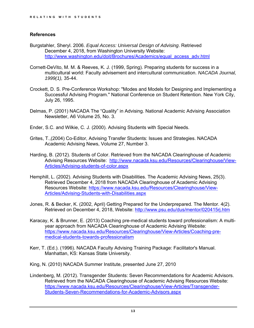#### **References**

- [http://www.washington.edu/doit/Brochures/Academics/equal\\_access\\_adv.html](http://www.washington.edu/doit/Brochures/Academics/equal_access_adv.html) Burgstahler, Sheryl. 2006. *Equal Access: Universal Design of Advising*. Retrieved December 4, 2018, from Washington University Website:
- Cornett-DeVito, M. M. & Reeves, K. J. (1999, Spring). Preparing students for success in a multicultural world: Faculty advisement and intercultural communication. *NACADA Journal, 1999(1),* 35-44.
- Crockett, D. S. Pre-Conference Workshop: "Modes and Models for Designing and Implementing a Successful Advising Program." National Conference on Student Retention. New York City, July 26, 1995.
- Delmas, P. (2001) NACADA The "Quality" in Advising. National Academic Advising Association Newsletter, A6 Volume 25, No. 3.
- Ender, S.C. and Wilkie, C. J. (2000). Advising Students with Special Needs.
- Grites, T.,(2004) Co-Editor, Advising Transfer Students: Issues and Strategies. NACADA Academic Advising News, Volume 27, Number 3.
- Harding, B. (2012). Students of Color. Retrieved from the NACADA Clearinghouse of Academic Advising Resources Website: [http://www.nacada.ksu.edu/Resources/Clearinghouse/View-](http://www.nacada.ksu.edu/Resources/Clearinghouse/View)Articles/Advising-students-of-color.aspx
- Hemphill, L. (2002). Advising Students with Disabilities. The Academic Advising News, 25(3). Retrieved December 4, 2018 from NACADA Clearinghouse of Academic Advising Resources Website:<https://www.nacada.ksu.edu/Resources/Clearinghouse/View>-Articles/Advising-Students-with-Disabilities.aspx
- Jones, R. & Becker, K. (2002, April) Getting Prepared for the Underprepared. The Mentor. 4(2). Retrieved on December 4, 2018, Website:<http://www.psu.edu/dus/mentor/020415rj.htm>
- Karacay, K. & Brunner, E. (2013) Coaching pre-medical students toward professionalism: A multiyear approach from NACADA Clearinghouse of Academic Advising Website: <https://www.nacada.ksu.edu/Resources/Clearinghouse/View-Articles/Coaching-pre>medical-students-towards-professionalism
- Kerr, T. (Ed.). (1996). NACADA Faculty Advising Training Package: Facilitator's Manual. Manhattan, KS: Kansas State University.
- King, N. (2010) NACADA Summer Institute, presented June 27, 2010
- Lindenberg, M. (2012). Transgender Students: Seven Recommendations for Academic Advisors. Retrieved from the NACADA Clearinghouse of Academic Advising Resources Website: <https://www.nacada.ksu.edu/Resources/Clearinghouse/View-Articles/Transgender>-Students-Seven-Recommendations-for-Academic-Advisors.aspx